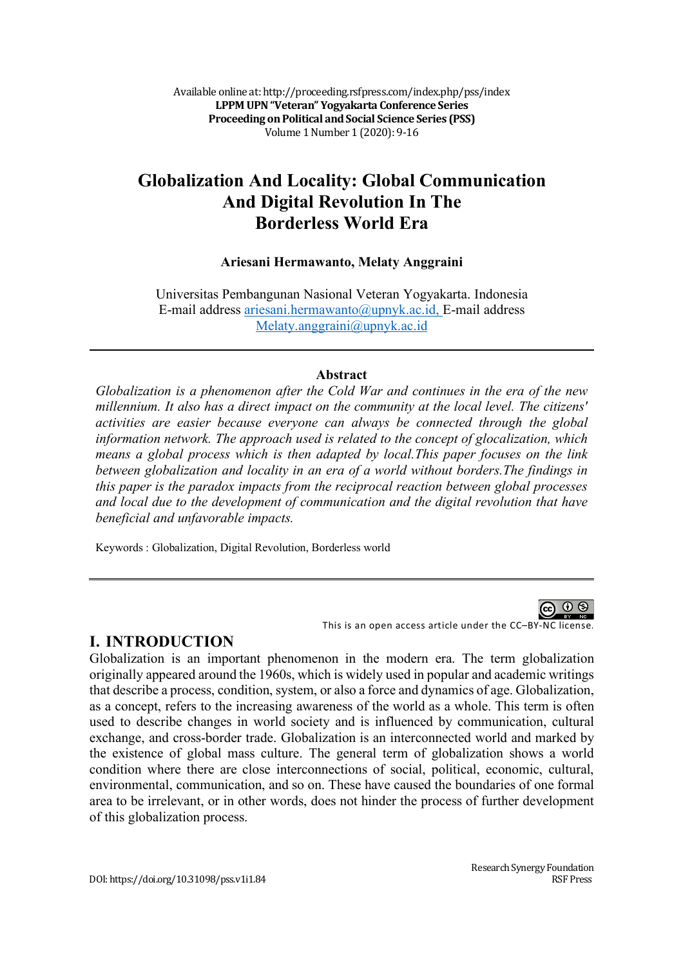Available online at: http://proceeding.rsfpress.com/index.php/pss/index **LPPM UPN "Veteran" Yogyakarta Conference Series Proceeding on Political and Social Science Series (PSS)** Volume 1 Number 1 (2020): 9-16

# **Globalization And Locality: Global Communication And Digital Revolution In The Borderless World Era**

#### **Ariesani Hermawanto, Melaty Anggraini**

Universitas Pembangunan Nasional Veteran Yogyakarta. Indonesia E-mail address ariesani.hermawanto@upnyk.ac.id, E-mail address Melaty.anggraini@upnyk.ac.id

#### **Abstract**

*Globalization is a phenomenon after the Cold War and continues in the era of the new millennium. It also has a direct impact on the community at the local level. The citizens' activities are easier because everyone can always be connected through the global information network. The approach used is related to the concept of glocalization, which means a global process which is then adapted by local.This paper focuses on the link between globalization and locality in an era of a world without borders.The findings in this paper is the paradox impacts from the reciprocal reaction between global processes and local due to the development of communication and the digital revolution that have beneficial and unfavorable impacts.*

Keywords : Globalization, Digital Revolution, Borderless world

This is an open access article under the CC–BY-NC license.

#### **I. INTRODUCTION**

Globalization is an important phenomenon in the modern era. The term globalization originally appeared around the 1960s, which is widely used in popular and academic writings that describe a process, condition, system, or also a force and dynamics of age. Globalization, as a concept, refers to the increasing awareness of the world as a whole. This term is often used to describe changes in world society and is influenced by communication, cultural exchange, and cross-border trade. Globalization is an interconnected world and marked by the existence of global mass culture. The general term of globalization shows a world condition where there are close interconnections of social, political, economic, cultural, environmental, communication, and so on. These have caused the boundaries of one formal area to be irrelevant, or in other words, does not hinder the process of further development of this globalization process.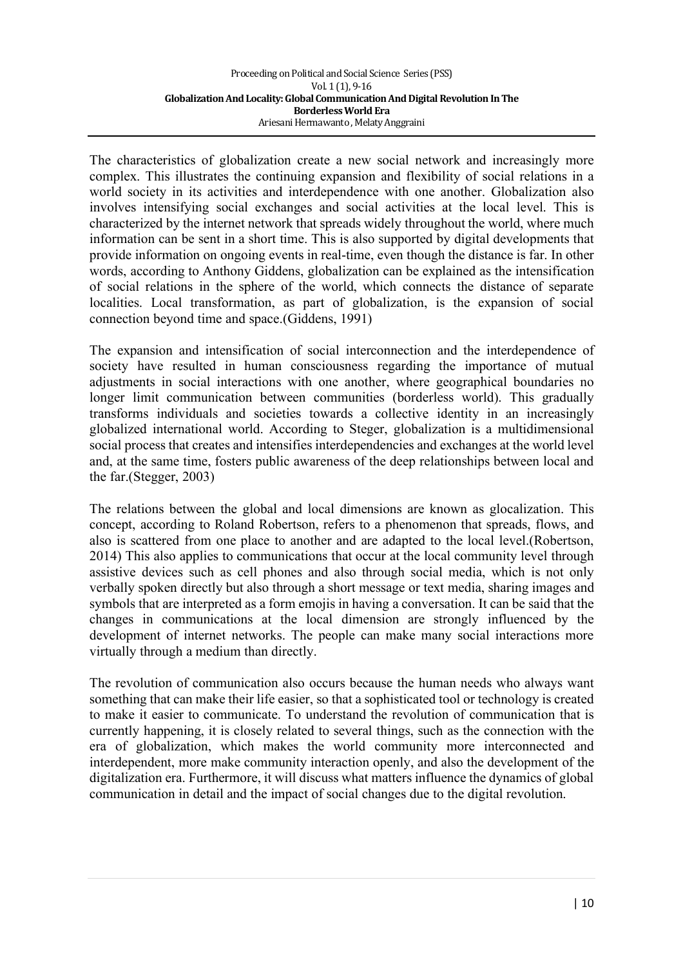The characteristics of globalization create a new social network and increasingly more complex. This illustrates the continuing expansion and flexibility of social relations in a world society in its activities and interdependence with one another. Globalization also involves intensifying social exchanges and social activities at the local level. This is characterized by the internet network that spreads widely throughout the world, where much information can be sent in a short time. This is also supported by digital developments that provide information on ongoing events in real-time, even though the distance is far. In other words, according to Anthony Giddens, globalization can be explained as the intensification of social relations in the sphere of the world, which connects the distance of separate localities. Local transformation, as part of globalization, is the expansion of social connection beyond time and space.(Giddens, 1991)

The expansion and intensification of social interconnection and the interdependence of society have resulted in human consciousness regarding the importance of mutual adjustments in social interactions with one another, where geographical boundaries no longer limit communication between communities (borderless world). This gradually transforms individuals and societies towards a collective identity in an increasingly globalized international world. According to Steger, globalization is a multidimensional social process that creates and intensifies interdependencies and exchanges at the world level and, at the same time, fosters public awareness of the deep relationships between local and the far.(Stegger, 2003)

The relations between the global and local dimensions are known as glocalization. This concept, according to Roland Robertson, refers to a phenomenon that spreads, flows, and also is scattered from one place to another and are adapted to the local level.(Robertson, 2014) This also applies to communications that occur at the local community level through assistive devices such as cell phones and also through social media, which is not only verbally spoken directly but also through a short message or text media, sharing images and symbols that are interpreted as a form emojis in having a conversation. It can be said that the changes in communications at the local dimension are strongly influenced by the development of internet networks. The people can make many social interactions more virtually through a medium than directly.

The revolution of communication also occurs because the human needs who always want something that can make their life easier, so that a sophisticated tool or technology is created to make it easier to communicate. To understand the revolution of communication that is currently happening, it is closely related to several things, such as the connection with the era of globalization, which makes the world community more interconnected and interdependent, more make community interaction openly, and also the development of the digitalization era. Furthermore, it will discuss what matters influence the dynamics of global communication in detail and the impact of social changes due to the digital revolution.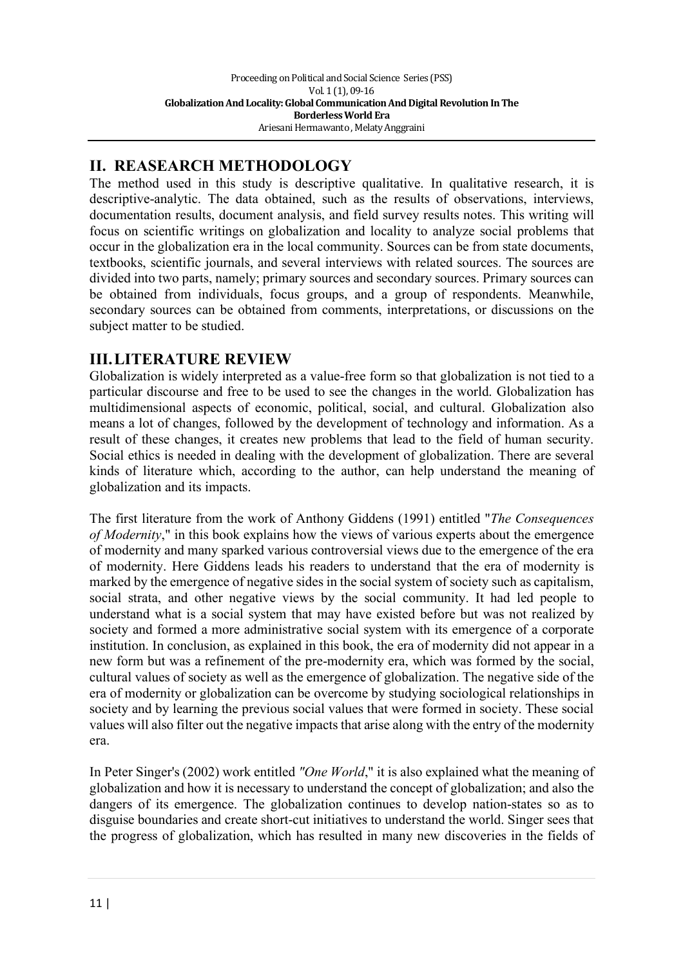# **II. REASEARCH METHODOLOGY**

The method used in this study is descriptive qualitative. In qualitative research, it is descriptive-analytic. The data obtained, such as the results of observations, interviews, documentation results, document analysis, and field survey results notes. This writing will focus on scientific writings on globalization and locality to analyze social problems that occur in the globalization era in the local community. Sources can be from state documents, textbooks, scientific journals, and several interviews with related sources. The sources are divided into two parts, namely; primary sources and secondary sources. Primary sources can be obtained from individuals, focus groups, and a group of respondents. Meanwhile, secondary sources can be obtained from comments, interpretations, or discussions on the subject matter to be studied.

# **III.LITERATURE REVIEW**

Globalization is widely interpreted as a value-free form so that globalization is not tied to a particular discourse and free to be used to see the changes in the world. Globalization has multidimensional aspects of economic, political, social, and cultural. Globalization also means a lot of changes, followed by the development of technology and information. As a result of these changes, it creates new problems that lead to the field of human security. Social ethics is needed in dealing with the development of globalization. There are several kinds of literature which, according to the author, can help understand the meaning of globalization and its impacts.

The first literature from the work of Anthony Giddens (1991) entitled "*The Consequences of Modernity*," in this book explains how the views of various experts about the emergence of modernity and many sparked various controversial views due to the emergence of the era of modernity. Here Giddens leads his readers to understand that the era of modernity is marked by the emergence of negative sides in the social system of society such as capitalism, social strata, and other negative views by the social community. It had led people to understand what is a social system that may have existed before but was not realized by society and formed a more administrative social system with its emergence of a corporate institution. In conclusion, as explained in this book, the era of modernity did not appear in a new form but was a refinement of the pre-modernity era, which was formed by the social, cultural values of society as well as the emergence of globalization. The negative side of the era of modernity or globalization can be overcome by studying sociological relationships in society and by learning the previous social values that were formed in society. These social values will also filter out the negative impacts that arise along with the entry of the modernity era.

In Peter Singer's (2002) work entitled *"One World*," it is also explained what the meaning of globalization and how it is necessary to understand the concept of globalization; and also the dangers of its emergence. The globalization continues to develop nation-states so as to disguise boundaries and create short-cut initiatives to understand the world. Singer sees that the progress of globalization, which has resulted in many new discoveries in the fields of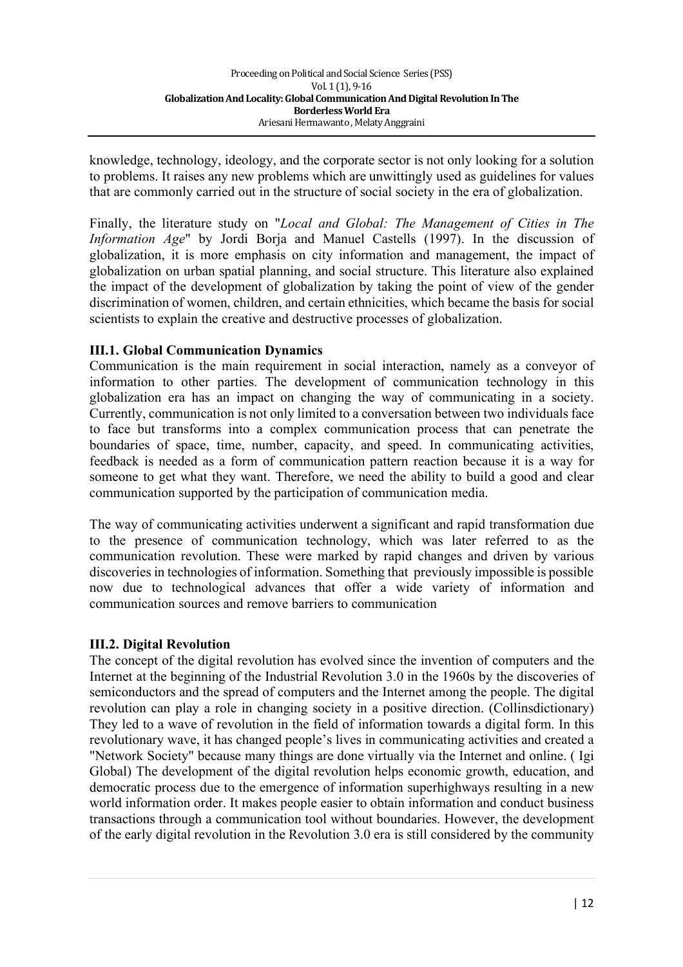knowledge, technology, ideology, and the corporate sector is not only looking for a solution to problems. It raises any new problems which are unwittingly used as guidelines for values that are commonly carried out in the structure of social society in the era of globalization.

Finally, the literature study on "*Local and Global: The Management of Cities in The Information Age*" by Jordi Borja and Manuel Castells (1997). In the discussion of globalization, it is more emphasis on city information and management, the impact of globalization on urban spatial planning, and social structure. This literature also explained the impact of the development of globalization by taking the point of view of the gender discrimination of women, children, and certain ethnicities, which became the basis for social scientists to explain the creative and destructive processes of globalization.

### **III.1. Global Communication Dynamics**

Communication is the main requirement in social interaction, namely as a conveyor of information to other parties. The development of communication technology in this globalization era has an impact on changing the way of communicating in a society. Currently, communication is not only limited to a conversation between two individuals face to face but transforms into a complex communication process that can penetrate the boundaries of space, time, number, capacity, and speed. In communicating activities, feedback is needed as a form of communication pattern reaction because it is a way for someone to get what they want. Therefore, we need the ability to build a good and clear communication supported by the participation of communication media.

The way of communicating activities underwent a significant and rapid transformation due to the presence of communication technology, which was later referred to as the communication revolution. These were marked by rapid changes and driven by various discoveries in technologies of information. Something that previously impossible is possible now due to technological advances that offer a wide variety of information and communication sources and remove barriers to communication

#### **III.2. Digital Revolution**

The concept of the digital revolution has evolved since the invention of computers and the Internet at the beginning of the Industrial Revolution 3.0 in the 1960s by the discoveries of semiconductors and the spread of computers and the Internet among the people. The digital revolution can play a role in changing society in a positive direction. (Collinsdictionary) They led to a wave of revolution in the field of information towards a digital form. In this revolutionary wave, it has changed people's lives in communicating activities and created a "Network Society" because many things are done virtually via the Internet and online. ( Igi Global) The development of the digital revolution helps economic growth, education, and democratic process due to the emergence of information superhighways resulting in a new world information order. It makes people easier to obtain information and conduct business transactions through a communication tool without boundaries. However, the development of the early digital revolution in the Revolution 3.0 era is still considered by the community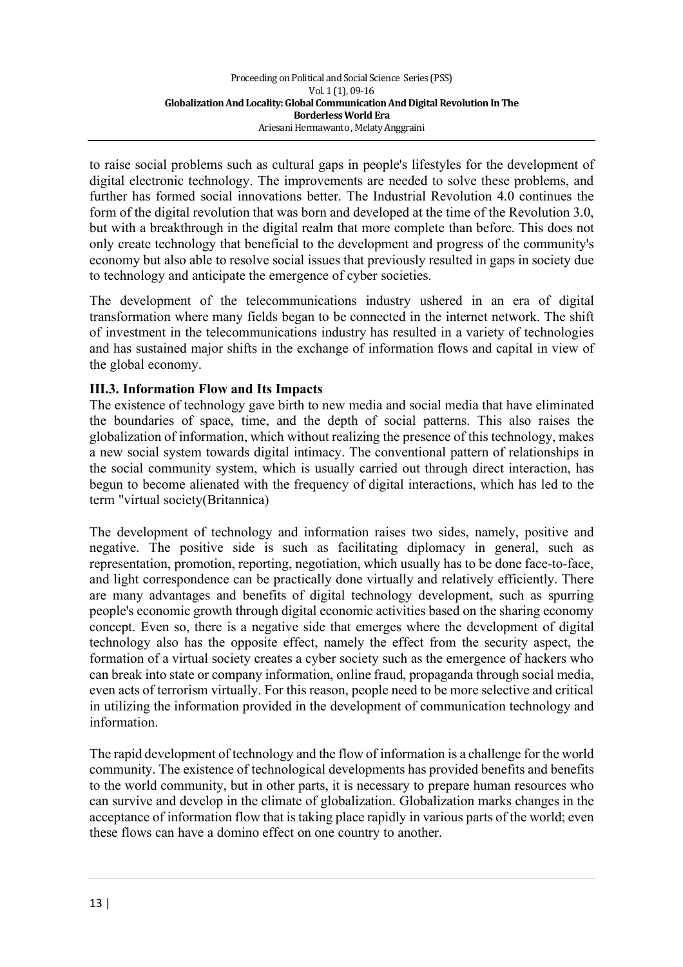to raise social problems such as cultural gaps in people's lifestyles for the development of digital electronic technology. The improvements are needed to solve these problems, and further has formed social innovations better. The Industrial Revolution 4.0 continues the form of the digital revolution that was born and developed at the time of the Revolution 3.0, but with a breakthrough in the digital realm that more complete than before. This does not only create technology that beneficial to the development and progress of the community's economy but also able to resolve social issues that previously resulted in gaps in society due to technology and anticipate the emergence of cyber societies.

The development of the telecommunications industry ushered in an era of digital transformation where many fields began to be connected in the internet network. The shift of investment in the telecommunications industry has resulted in a variety of technologies and has sustained major shifts in the exchange of information flows and capital in view of the global economy.

### **III.3. Information Flow and Its Impacts**

The existence of technology gave birth to new media and social media that have eliminated the boundaries of space, time, and the depth of social patterns. This also raises the globalization of information, which without realizing the presence of this technology, makes a new social system towards digital intimacy. The conventional pattern of relationships in the social community system, which is usually carried out through direct interaction, has begun to become alienated with the frequency of digital interactions, which has led to the term "virtual society(Britannica)

The development of technology and information raises two sides, namely, positive and negative. The positive side is such as facilitating diplomacy in general, such as representation, promotion, reporting, negotiation, which usually has to be done face-to-face, and light correspondence can be practically done virtually and relatively efficiently. There are many advantages and benefits of digital technology development, such as spurring people's economic growth through digital economic activities based on the sharing economy concept. Even so, there is a negative side that emerges where the development of digital technology also has the opposite effect, namely the effect from the security aspect, the formation of a virtual society creates a cyber society such as the emergence of hackers who can break into state or company information, online fraud, propaganda through social media, even acts of terrorism virtually. For this reason, people need to be more selective and critical in utilizing the information provided in the development of communication technology and information.

The rapid development of technology and the flow of information is a challenge for the world community. The existence of technological developments has provided benefits and benefits to the world community, but in other parts, it is necessary to prepare human resources who can survive and develop in the climate of globalization. Globalization marks changes in the acceptance of information flow that is taking place rapidly in various parts of the world; even these flows can have a domino effect on one country to another.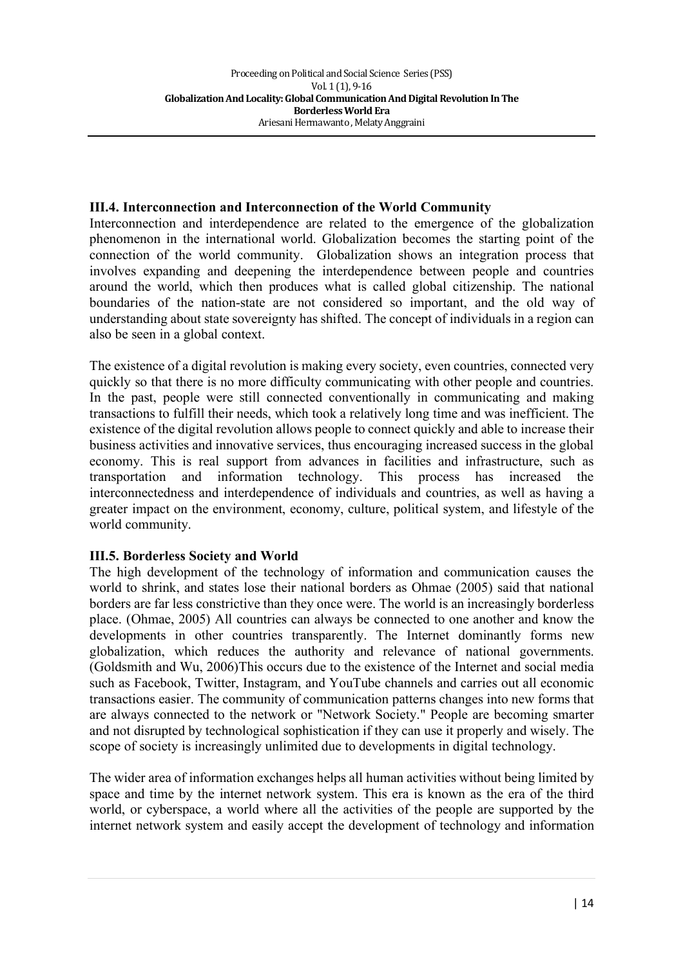#### **III.4. Interconnection and Interconnection of the World Community**

Interconnection and interdependence are related to the emergence of the globalization phenomenon in the international world. Globalization becomes the starting point of the connection of the world community. Globalization shows an integration process that involves expanding and deepening the interdependence between people and countries around the world, which then produces what is called global citizenship. The national boundaries of the nation-state are not considered so important, and the old way of understanding about state sovereignty has shifted. The concept of individuals in a region can also be seen in a global context.

The existence of a digital revolution is making every society, even countries, connected very quickly so that there is no more difficulty communicating with other people and countries. In the past, people were still connected conventionally in communicating and making transactions to fulfill their needs, which took a relatively long time and was inefficient. The existence of the digital revolution allows people to connect quickly and able to increase their business activities and innovative services, thus encouraging increased success in the global economy. This is real support from advances in facilities and infrastructure, such as transportation and information technology. This process has increased the interconnectedness and interdependence of individuals and countries, as well as having a greater impact on the environment, economy, culture, political system, and lifestyle of the world community.

#### **III.5. Borderless Society and World**

The high development of the technology of information and communication causes the world to shrink, and states lose their national borders as Ohmae (2005) said that national borders are far less constrictive than they once were. The world is an increasingly borderless place. (Ohmae, 2005) All countries can always be connected to one another and know the developments in other countries transparently. The Internet dominantly forms new globalization, which reduces the authority and relevance of national governments. (Goldsmith and Wu, 2006)This occurs due to the existence of the Internet and social media such as Facebook, Twitter, Instagram, and YouTube channels and carries out all economic transactions easier. The community of communication patterns changes into new forms that are always connected to the network or "Network Society." People are becoming smarter and not disrupted by technological sophistication if they can use it properly and wisely. The scope of society is increasingly unlimited due to developments in digital technology.

The wider area of information exchanges helps all human activities without being limited by space and time by the internet network system. This era is known as the era of the third world, or cyberspace, a world where all the activities of the people are supported by the internet network system and easily accept the development of technology and information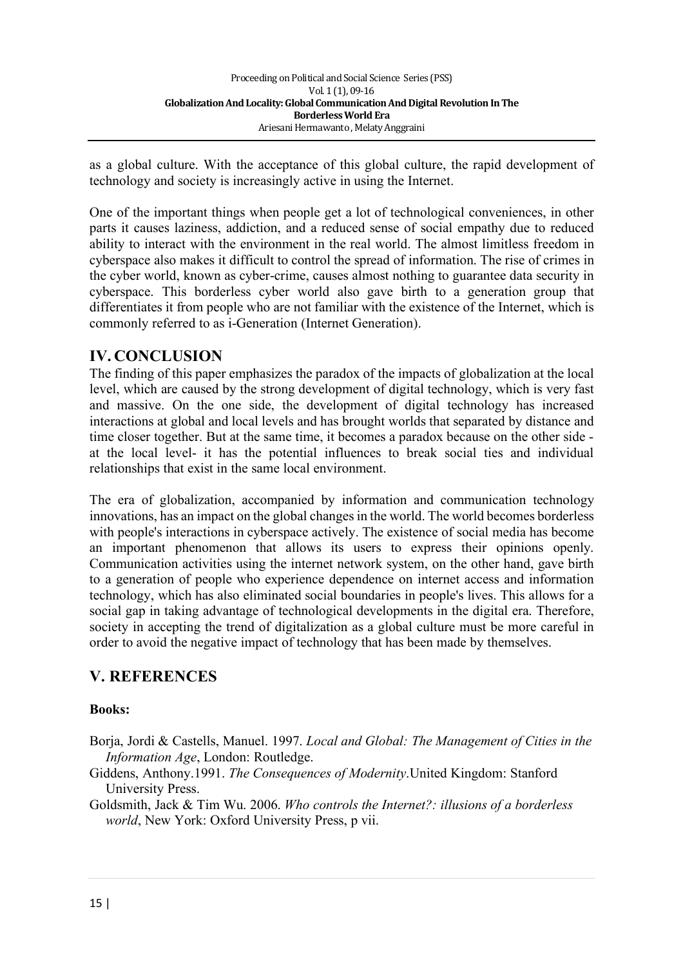as a global culture. With the acceptance of this global culture, the rapid development of technology and society is increasingly active in using the Internet.

One of the important things when people get a lot of technological conveniences, in other parts it causes laziness, addiction, and a reduced sense of social empathy due to reduced ability to interact with the environment in the real world. The almost limitless freedom in cyberspace also makes it difficult to control the spread of information. The rise of crimes in the cyber world, known as cyber-crime, causes almost nothing to guarantee data security in cyberspace. This borderless cyber world also gave birth to a generation group that differentiates it from people who are not familiar with the existence of the Internet, which is commonly referred to as i-Generation (Internet Generation).

# **IV. CONCLUSION**

The finding of this paper emphasizes the paradox of the impacts of globalization at the local level, which are caused by the strong development of digital technology, which is very fast and massive. On the one side, the development of digital technology has increased interactions at global and local levels and has brought worlds that separated by distance and time closer together. But at the same time, it becomes a paradox because on the other side at the local level- it has the potential influences to break social ties and individual relationships that exist in the same local environment.

The era of globalization, accompanied by information and communication technology innovations, has an impact on the global changes in the world. The world becomes borderless with people's interactions in cyberspace actively. The existence of social media has become an important phenomenon that allows its users to express their opinions openly. Communication activities using the internet network system, on the other hand, gave birth to a generation of people who experience dependence on internet access and information technology, which has also eliminated social boundaries in people's lives. This allows for a social gap in taking advantage of technological developments in the digital era. Therefore, society in accepting the trend of digitalization as a global culture must be more careful in order to avoid the negative impact of technology that has been made by themselves.

## **V. REFERENCES**

#### **Books:**

- Borja, Jordi & Castells, Manuel. 1997. *Local and Global: The Management of Cities in the Information Age*, London: Routledge.
- Giddens, Anthony.1991. *The Consequences of Modernity*.United Kingdom: Stanford University Press.

Goldsmith, Jack & Tim Wu. 2006. *Who controls the Internet?: illusions of a borderless world*, New York: Oxford University Press, p vii.